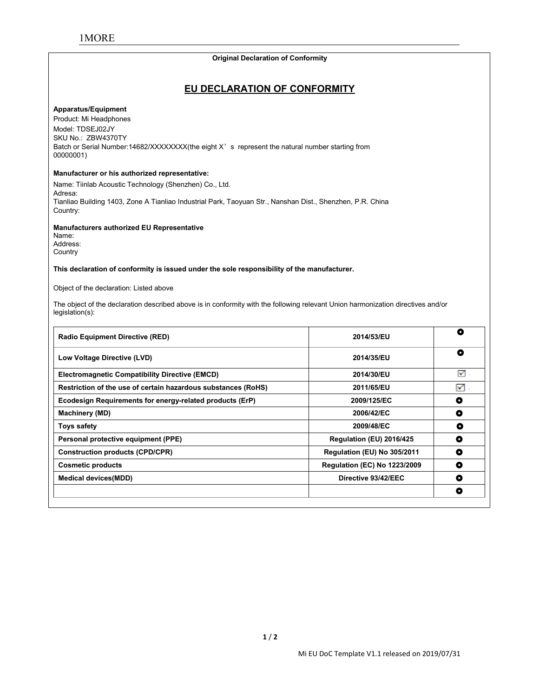# **Original Declaration of Conformity**

#### **Apparatus/Equipment**

**EU DECLARATION OF CONFORMITY** <u>I MORE</u><br> **EU**<br>
Apparatus/Equipment<br>
Product: Mi Headphones<br>
Model: TDSEJ02JY<br>
SKU No.: ZBW4370TY<br>
Batch or Serial Number:14682/XXXXXXX(the MORE<br>Apparatus/Equipment<br>Product: Mi Headphones<br>Model: TDSEJ02JY<br>SKU No.: ZBW4370TY<br>Batch or Serial Number:14682/XXXXXXX(the e<br>00000001) MORE<br>
Maparatus/Equipment<br>
Product: Mi Headphones<br>
Model: TDSEJ02JY<br>
SKU No.: ZBW4370TY<br>
Batch or Serial Number:14682/XXXXXXX(the eight<br>
00000001)<br>
Manufacturer or his authorized representative: Original Declaration of Conformity<br>
EU DECLARATION OF CONFORMITY<br>
Product: Mi Headphones<br>
Model: TDSEJ02JY<br>
SKU No.: ZBW4370TY<br>
Batch or Serial Number:14682/XXXXXXX(the eight X's represent the natural number starting from<br> 00000001) **EU DECLARATIO**<br> **Apparatus/Equipment**<br>
Product: Mi Headphones<br>
Model: TDSEJ02JY<br>
SKU No.: ZBW4370TY<br>
Batch or Serial Number:14682/XXXXXXXX(the eight X's represent<br>
00000001)<br> **Manufacturer or his authorized representative EU DECLARATION OF CONFO**<br>
Product: Mi Headphones<br>
Model: TDSEJ02JY<br>
SKU No.: ZBW4370TY<br>
Batch or Serial Number:14682/XXXXXXX(the eight X's represent the natural numbe<br>
00000001)<br>
Manufacturer or his authorized representat Apparatus/Equipment<br>Product: Mi Headphones<br>Model: TDSEJ02JY<br>BKU No.: ZBW4370TY<br>BKU No.: ZBW4370TY<br>00000001)<br>00000001)<br>Manufacturer or his authorized representative:<br>Name: Tiinlab Acoustic Technology (Shenzhen) Co., Ltd.<br>Ad

Adresa:<br>Tianliao Building 1403, Zone A Tianliao Industrial Park, Taoyuan Str., Nanshan Dist., Shenzhen, P.R. China Country: Model: TDSEJ02JY<br>SKU No.: ZBW4370TY<br>Batch or Serial Number:14682/XXXXXXXX(the eight X's represent the<br>00000001)<br>**Manufacturer or his authorized representative:**<br>Name: Tiinlab Acoustic Technology (Shenzhen) Co., Ltd.<br>Adresa **Manufacturer or his authorized representative:**<br>
Name: Tiinlab Acoustic Technology (Shenzhen) Co., Ltd.<br>
Adresa:<br>
Thanliao Building 1403, Zone A Tianliao Industrial Park, Taoyuan Str., Nanshan Dist., Shenzhen, P.R. China<br> Name: Tiinlab Acoustic Technology (Shenzhen) Co., Ltd.<br>Adresa:<br>Tianliao Building 1403, Zone A Tianliao Industrial Park, Taoyuan S<br>Country:<br>**Manufacturers authorized EU Representative**<br>Name:<br>Address:<br>Country<br>Th**is declarati** 

Name: Address: **Country** 

Tianilao Building 1403, Zone A Tianliao Industrial Park, Taoyuan Str., Nanshan Dist., Shenzhen, P.R. China<br>Manufacturers authorized EU Representative<br>Address:<br>Name:<br>Country<br>Country<br>County<br>County of the declaration of confo legislation(s):

| <b>Cosmetic products</b>                                                                                                                               | <b>Regulation (EC) No 1223/2009</b> | $\bullet$ |
|--------------------------------------------------------------------------------------------------------------------------------------------------------|-------------------------------------|-----------|
| <b>Construction products (CPD/CPR)</b>                                                                                                                 | Regulation (EU) No 305/2011         | $\bullet$ |
| Personal protective equipment (PPE)                                                                                                                    | Regulation (EU) 2016/425            | $\bullet$ |
| Toys safety                                                                                                                                            | 2009/48/EC                          | $\bullet$ |
| <b>Machinery (MD)</b>                                                                                                                                  | 2006/42/EC                          | $\bullet$ |
| Ecodesign Requirements for energy-related products (ErP)                                                                                               | 2009/125/EC                         | $\bullet$ |
| Restriction of the use of certain hazardous substances (RoHS)                                                                                          | 2011/65/EU                          | ☑         |
| <b>Electromagnetic Compatibility Directive (EMCD)</b>                                                                                                  | 2014/30/EU                          | न्त्र ।   |
| Low Voltage Directive (LVD)                                                                                                                            | 2014/35/EU                          | $\bullet$ |
| <b>Radio Equipment Directive (RED)</b>                                                                                                                 | 2014/53/EU                          | $\bullet$ |
| The object of the declaration described above is in conformity with the following relevant Union harmonization directives and/or<br>$legislation(s)$ : |                                     |           |
| Object of the declaration: Listed above                                                                                                                |                                     |           |
| This declaration of conformity is issued under the sole responsibility of the manufacturer.                                                            |                                     |           |
| Address:<br>Country                                                                                                                                    |                                     |           |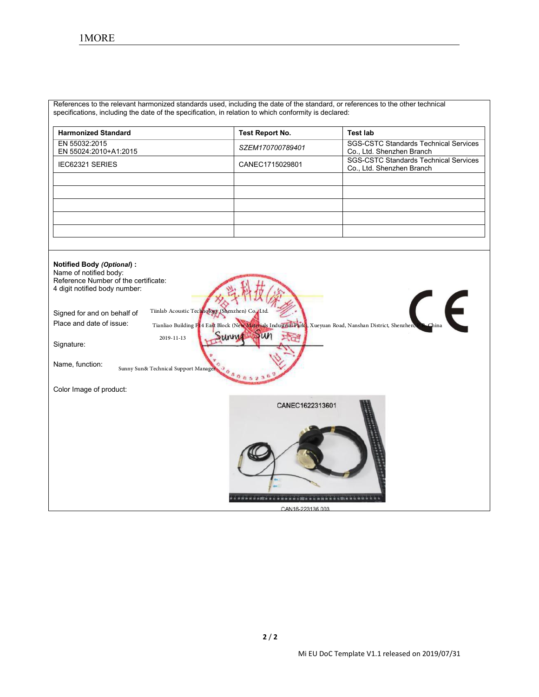| 1MORE                                                                                                                          |                        |                                                                           |
|--------------------------------------------------------------------------------------------------------------------------------|------------------------|---------------------------------------------------------------------------|
|                                                                                                                                |                        |                                                                           |
|                                                                                                                                |                        |                                                                           |
|                                                                                                                                |                        |                                                                           |
| References to the relevant harmonized standards used, including the date of the standard, or references to the other technical |                        |                                                                           |
| specifications, including the date of the specification, in relation to which conformity is declared:                          |                        |                                                                           |
| <b>Harmonized Standard</b>                                                                                                     | <b>Test Report No.</b> | <b>Test lab</b>                                                           |
| EN 55032:2015<br>EN 55024:2010+A1:2015                                                                                         | SZEM170700789401       | <b>SGS-CSTC Standards Technical Services</b><br>Co., Ltd. Shenzhen Branch |
| IEC62321 SERIES                                                                                                                | CANEC1715029801        | <b>SGS-CSTC Standards Technical Services</b><br>Co., Ltd. Shenzhen Branch |
|                                                                                                                                |                        |                                                                           |
|                                                                                                                                |                        |                                                                           |
|                                                                                                                                |                        |                                                                           |
|                                                                                                                                |                        |                                                                           |
|                                                                                                                                |                        |                                                                           |
| <b>Notified Body (Optional):</b>                                                                                               |                        |                                                                           |
| Name of notified body:<br>Reference Number of the certificate:                                                                 |                        |                                                                           |
| 4 digit notified body number:                                                                                                  |                        |                                                                           |

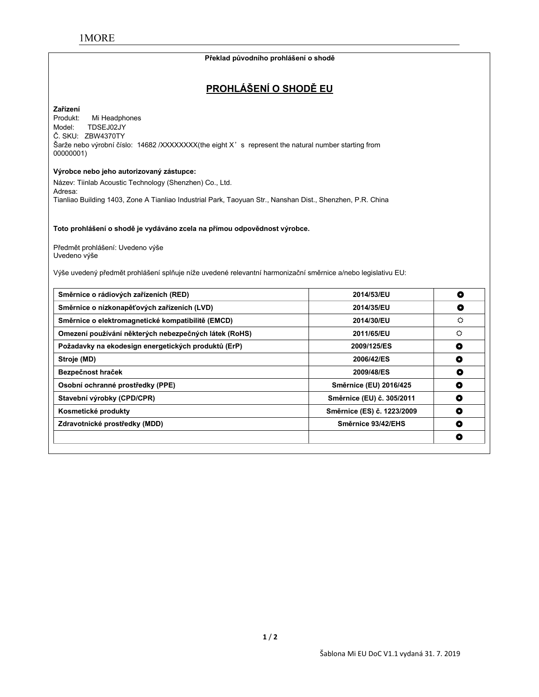#### **Překlad původního prohlášení o shodě**

# **PROHLÁŠENÍ O SHODĚ EU**

# **Zařízení**

Mi Headphones Model: TDSEJ02JY Č. SKU: ZBW4370TY Šarže nebo výrobní číslo: 14682 /XXXXXXX(the eight X' s represent the natural number starting from 00000001)

#### **Výrobce nebo jeho autorizovaný zástupce:**

Název: Tiinlab Acoustic Technology (Shenzhen) Co., Ltd. Adresa: Tianliao Building 1403, Zone A Tianliao Industrial Park, Taoyuan Str., Nanshan Dist., Shenzhen, P.R. China

**Toto prohlášení o shodě je vydáváno zcela na přímou odpovědnost výrobce.**

Předmět prohlášení: Uvedeno výše Uvedeno výše

Výše uvedený předmět prohlášení splňuje níže uvedené relevantní harmonizační směrnice a/nebo legislativu EU:

| Směrnice o rádiových zařízeních (RED)                 | 2014/53/EU                 | O |
|-------------------------------------------------------|----------------------------|---|
| Směrnice o nízkonapěťových zařízeních (LVD)           | 2014/35/EU                 | O |
| Směrnice o elektromagnetické kompatibilitě (EMCD)     | 2014/30/EU                 | ⇔ |
| Omezení používání některých nebezpečných látek (RoHS) | 2011/65/EU                 | ٥ |
| Požadavky na ekodesign energetických produktů (ErP)   | 2009/125/ES                | O |
| Stroje (MD)                                           | 2006/42/ES                 | O |
| Bezpečnost hraček                                     | 2009/48/ES                 | O |
| Osobní ochranné prostředky (PPE)                      | Směrnice (EU) 2016/425     | O |
| Stavební výrobky (CPD/CPR)                            | Směrnice (EU) č. 305/2011  | О |
| Kosmetické produkty                                   | Směrnice (ES) č. 1223/2009 | O |
| Zdravotnické prostředky (MDD)                         | Směrnice 93/42/EHS         | O |
|                                                       |                            | о |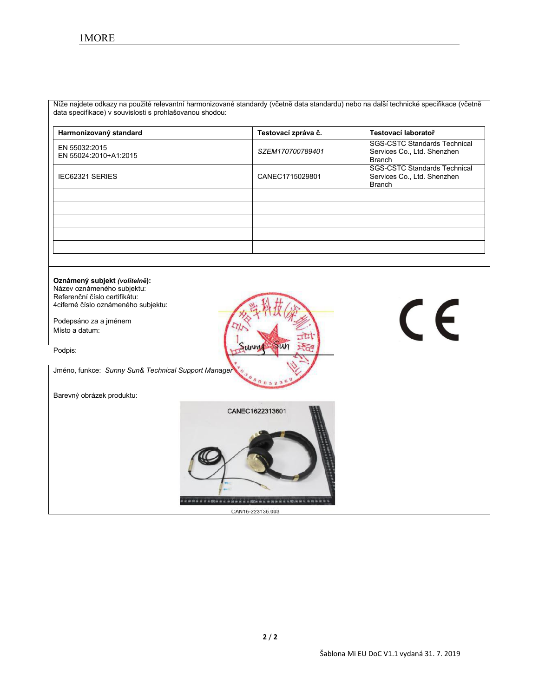Níže najdete odkazy na použité relevantní harmonizované standardy (včetně data standardu) nebo na další technické specifikace (včetně data specifikace) v souvislosti s prohlašovanou shodou:

| Harmonizovaný standard                 | Testovací zpráva č. | Testovací laboratoř                                                                 |
|----------------------------------------|---------------------|-------------------------------------------------------------------------------------|
| EN 55032:2015<br>EN 55024:2010+A1:2015 | SZEM170700789401    | <b>SGS-CSTC Standards Technical</b><br>Services Co., Ltd. Shenzhen<br><b>Branch</b> |
| <b>IEC62321 SERIES</b>                 | CANEC1715029801     | <b>SGS-CSTC Standards Technical</b><br>Services Co., Ltd. Shenzhen<br><b>Branch</b> |
|                                        |                     |                                                                                     |
|                                        |                     |                                                                                     |
|                                        |                     |                                                                                     |
|                                        |                     |                                                                                     |
|                                        |                     |                                                                                     |

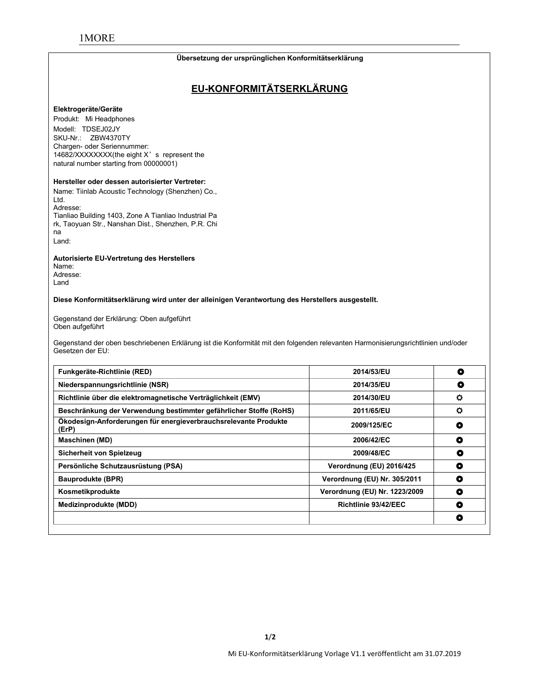#### **Übersetzung der ursprünglichen Konformitätserklärung**

# **EU-KONFORMITÄTSERKLÄRUNG**

#### **Elektrogeräte/Geräte**

Produkt: Mi Headphones Modell: TDSEJ02JY SKU-Nr.: ZBW4370TY Chargen- oder Seriennummer: 14682/XXXXXXXX(the eight X's represent the natural number starting from 00000001)

#### **Hersteller oder dessen autorisierter Vertreter:**

Name: Tiinlab Acoustic Technology (Shenzhen) Co., Ltd. Adresse: Tianliao Building 1403, Zone A Tianliao Industrial Pa rk, Taoyuan Str., Nanshan Dist., Shenzhen, P.R. Chi na Land:

**Autorisierte EU-Vertretung des Herstellers**

Name: Adresse: Land

**Diese Konformitätserklärung wird unter der alleinigen Verantwortung des Herstellers ausgestellt.**

Gegenstand der Erklärung: Oben aufgeführt Oben aufgeführt

Gegenstand der oben beschriebenen Erklärung ist die Konformität mit den folgenden relevanten Harmonisierungsrichtlinien und/oder<br>Gesetzen der EU:

| Funkgeräte-Richtlinie (RED)                                              | 2014/53/EU                    | O              |
|--------------------------------------------------------------------------|-------------------------------|----------------|
| Niederspannungsrichtlinie (NSR)                                          | 2014/35/EU                    | O              |
| Richtlinie über die elektromagnetische Verträglichkeit (EMV)             | 2014/30/EU                    | $\circ$        |
| Beschränkung der Verwendung bestimmter gefährlicher Stoffe (RoHS)        | 2011/65/EU                    | $\ddot{\circ}$ |
| Ökodesign-Anforderungen für energieverbrauchsrelevante Produkte<br>(ErP) | 2009/125/EC                   | о              |
| <b>Maschinen (MD)</b>                                                    | 2006/42/EC                    | $\bullet$      |
| Sicherheit von Spielzeug                                                 | 2009/48/EC                    | O              |
| Persönliche Schutzausrüstung (PSA)                                       | Verordnung (EU) 2016/425      | $\bullet$      |
| <b>Bauprodukte (BPR)</b>                                                 | Verordnung (EU) Nr. 305/2011  | $\bullet$      |
| Kosmetikprodukte                                                         | Verordnung (EU) Nr. 1223/2009 | O              |
| Medizinprodukte (MDD)                                                    | Richtlinie 93/42/EEC          | O              |
|                                                                          |                               | O              |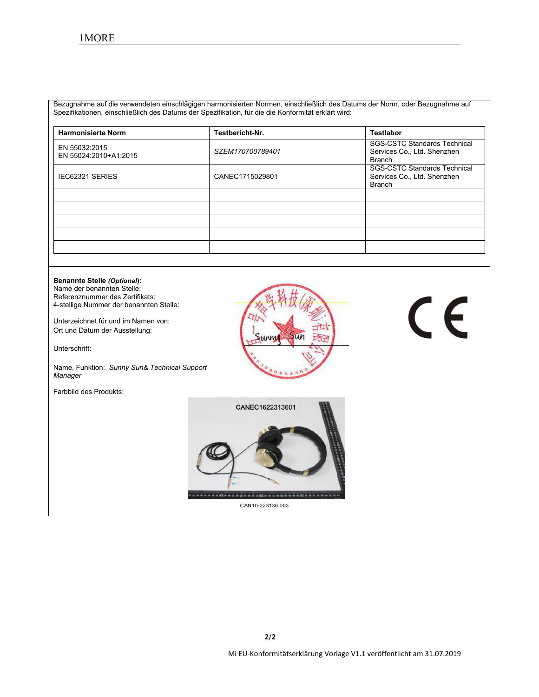Bezugnahme auf die verwendeten einschlägigen harmonisierten Normen, einschließlich des Datums der Norm, oder Bezugnahme auf Spezifikationen, einschließlich des Datums der Spezifikation, für die die Konformität erklärt wird:

| <b>Harmonisierte Norm</b>              | Testbericht-Nr.  | <b>Testlabor</b>                                                                    |
|----------------------------------------|------------------|-------------------------------------------------------------------------------------|
| EN 55032:2015<br>EN 55024:2010+A1:2015 | SZEM170700789401 | <b>SGS-CSTC Standards Technical</b><br>Services Co., Ltd. Shenzhen<br><b>Branch</b> |
| <b>IEC62321 SERIES</b>                 | CANEC1715029801  | <b>SGS-CSTC Standards Technical</b><br>Services Co., Ltd. Shenzhen<br>Branch        |
|                                        |                  |                                                                                     |
|                                        |                  |                                                                                     |
|                                        |                  |                                                                                     |
|                                        |                  |                                                                                     |
|                                        |                  |                                                                                     |

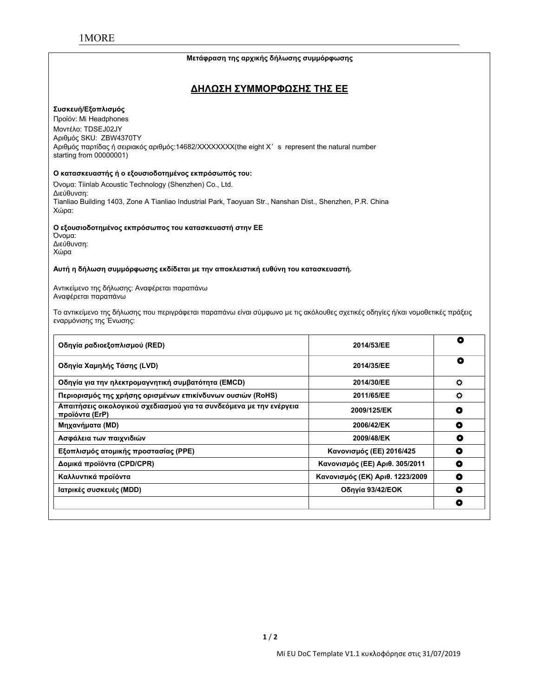#### **Μετάφραση της αρχικής δήλωσης συμμόρφωσης**

## **ΔΗΛΩΣΗ ΣΥΜΜΟΡΦΩΣΗΣ ΤΗΣ ΕΕ**

#### **Συσκευή/Εξοπλισμός**

Προϊόν: Mi Headphones Μοντέλο: TDSEJ02JY Αριθμός SKU: ZBW4370TY Αριθμός παρτίδας ή σειριακός αριθμός:14682/XXXXXXXX(the eight X's represent the natural number starting from 00000001)

**Ο κατασκευαστής ή ο εξουσιοδοτημένος εκπρόσωπός του:** Όνομα: Tiinlab Acoustic Technology (Shenzhen) Co., Ltd. Διεύθυνση: Tianliao Building 1403, Zone A Tianliao Industrial Park, Taoyuan Str., Nanshan Dist., Shenzhen, P.R. China Χώρα:

#### **Ο εξουσιοδοτημένος εκπρόσωπος του κατασκευαστή στην ΕΕ**

Όνομα: Διεύθυνση: Χώρα

#### **Αυτή η δήλωση συμμόρφωσης εκδίδεται με την αποκλειστική ευθύνη του κατασκευαστή.**

Αντικείμενο της δήλωσης: Αναφέρεται παραπάνω Αναφέρεται παραπάνω

Το αντικείμενο της δήλωσης που περιγράφεται παραπάνω είναι σύμφωνο με τις ακόλουθες σχετικές οδηγίες ή/και νομοθετικές πράξεις εναρμόνισης της Ένωσης:

| Οδηγία ραδιοεξοπλισμού (RED)                                                          | 2014/53/EE                      | O         |
|---------------------------------------------------------------------------------------|---------------------------------|-----------|
| Οδηγία Χαμηλής Τάσης (LVD)                                                            | 2014/35/EE                      | O         |
| Οδηγία για την ηλεκτρομαγνητική συμβατότητα (EMCD)                                    | 2014/30/EE                      | $\circ$   |
| Περιορισμός της χρήσης ορισμένων επικίνδυνων ουσιών (RoHS)                            | 2011/65/EE                      | $\circ$   |
| Απαιτήσεις οικολογικού σχεδιασμού για τα συνδεόμενα με την ενέργεια<br>προϊόντα (ErP) | 2009/125/EK                     | ٥         |
| Μηχανήματα (MD)                                                                       | 2006/42/EK                      | ٥         |
| Ασφάλεια των παιχνιδιών                                                               | 2009/48/EK                      | $\bullet$ |
| Εξοπλισμός ατομικής προστασίας (PPE)                                                  | Κανονισμός (ΕΕ) 2016/425        | $\bullet$ |
| Δομικά προϊόντα (CPD/CPR)                                                             | Κανονισμός (ΕΕ) Αριθ. 305/2011  | O         |
| Καλλυντικά προϊόντα                                                                   | Κανονισμός (ΕΚ) Αριθ. 1223/2009 | ۰         |
| Ιατρικές συσκευές (MDD)                                                               | Οδηγία 93/42/ΕΟΚ                | $\bullet$ |
|                                                                                       |                                 | $\bullet$ |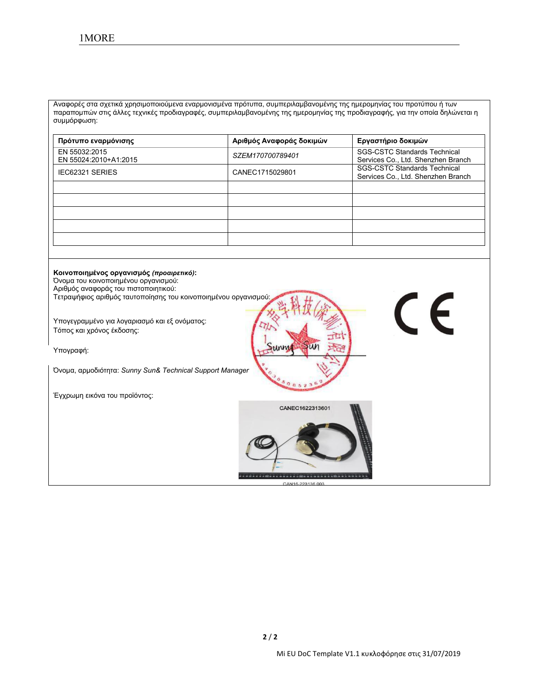Αναφορές στα σχετικά χρησιμοποιούμενα εναρμονισμένα πρότυπα, συμπεριλαμβανομένης της ημερομηνίας του προτύπου ή των παραπομπών στις άλλες τεχνικές προδιαγραφές, συμπεριλαμβανομένης της ημερομηνίας της προδιαγραφής, για την οποία δηλώνεται η συμμόρφωση:

| Πρότυπο εναρμόνισης                    | Αριθμός Αναφοράς δοκιμών | Εργαστήριο δοκιμών                                                        |
|----------------------------------------|--------------------------|---------------------------------------------------------------------------|
| EN 55032:2015<br>EN 55024:2010+A1:2015 | SZEM170700789401         | <b>SGS-CSTC Standards Technical</b><br>Services Co., Ltd. Shenzhen Branch |
| <b>IEC62321 SERIES</b>                 | CANEC1715029801          | <b>SGS-CSTC Standards Technical</b><br>Services Co., Ltd. Shenzhen Branch |
|                                        |                          |                                                                           |
|                                        |                          |                                                                           |
|                                        |                          |                                                                           |
|                                        |                          |                                                                           |

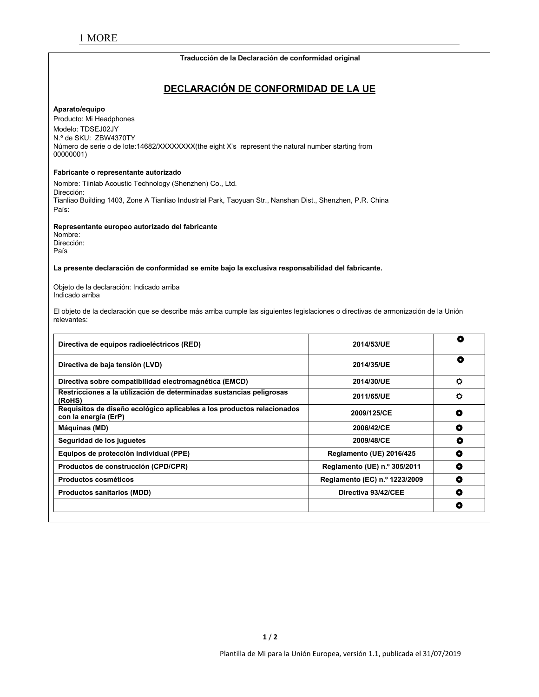#### **Traducción de la Declaración de conformidad original**

# **DECLARACIÓN DE CONFORMIDAD DE LA UE**

#### **Aparato/equipo**

Producto: Mi Headphones Modelo: TDSEJ02JY N.º de SKU: ZBW4370TY Número de serie o de lote:14682/XXXXXXX(the eight X's represent the natural number starting from 00000001)

#### **Fabricante o representante autorizado**

Nombre: Tiinlab Acoustic Technology (Shenzhen) Co., Ltd. Dirección: Tianliao Building 1403, Zone A Tianliao Industrial Park, Taoyuan Str., Nanshan Dist., Shenzhen, P.R. China País:

#### **Representante europeo autorizado del fabricante**

Nombre: Dirección: País

**La presente declaración de conformidad se emite bajo laexclusiva responsabilidad del fabricante.**

Objeto de la declaración: Indicado arriba Indicado arriba

El objeto de la declaración que se describe más arriba cumple las siguientes legislaciones o directivas de armonización de la Unión relevantes:

| Directiva de equipos radioeléctricos (RED)                                                     | 2014/53/UE                      | ٥       |
|------------------------------------------------------------------------------------------------|---------------------------------|---------|
| Directiva de baja tensión (LVD)                                                                | 2014/35/UE                      | O       |
| Directiva sobre compatibilidad electromagnética (EMCD)                                         | 2014/30/UE                      | $\circ$ |
| Restricciones a la utilización de determinadas sustancias peligrosas<br>(RoHS)                 | 2011/65/UE                      | o       |
| Requisitos de diseño ecológico aplicables a los productos relacionados<br>con la energía (ErP) | 2009/125/CE                     | ٥       |
| Máquinas (MD)                                                                                  | 2006/42/CE                      | O       |
| Seguridad de los juguetes                                                                      | 2009/48/CE                      | ٥       |
| Equipos de protección individual (PPE)                                                         | <b>Reglamento (UE) 2016/425</b> | O       |
| Productos de construcción (CPD/CPR)                                                            | Reglamento (UE) n.º 305/2011    | O       |
| <b>Productos cosméticos</b>                                                                    | Reglamento (EC) n.º 1223/2009   | O       |
| <b>Productos sanitarios (MDD)</b>                                                              | Directiva 93/42/CEE             | O       |
|                                                                                                |                                 | ۰       |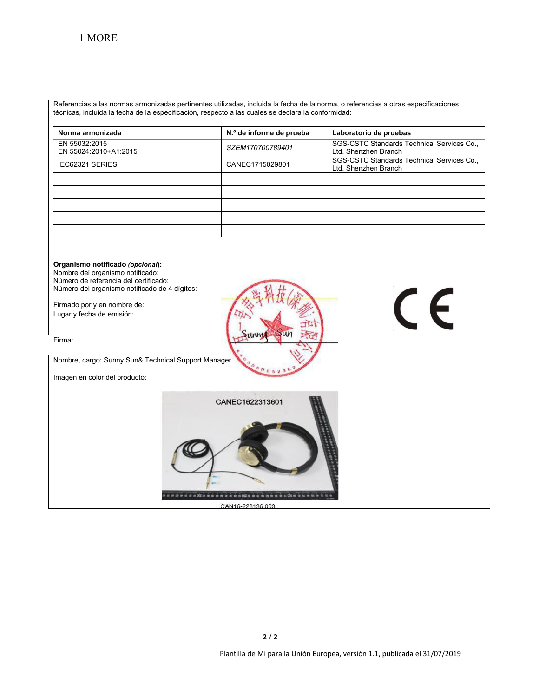Referencias a las normas armonizadas pertinentes utilizadas, incluida la fecha de la norma, o referencias a otras especificaciones técnicas, incluida la fecha de la especificación, respecto a las cuales se declara la conformidad:

| Norma armonizada                       | N.º de informe de prueba | Laboratorio de pruebas                                             |
|----------------------------------------|--------------------------|--------------------------------------------------------------------|
| EN 55032:2015<br>EN 55024:2010+A1:2015 | SZEM170700789401         | SGS-CSTC Standards Technical Services Co.,<br>Ltd. Shenzhen Branch |
| <b>IEC62321 SERIES</b>                 | CANEC1715029801          | SGS-CSTC Standards Technical Services Co.,<br>Ltd. Shenzhen Branch |
|                                        |                          |                                                                    |
|                                        |                          |                                                                    |
|                                        |                          |                                                                    |
|                                        |                          |                                                                    |
|                                        |                          |                                                                    |

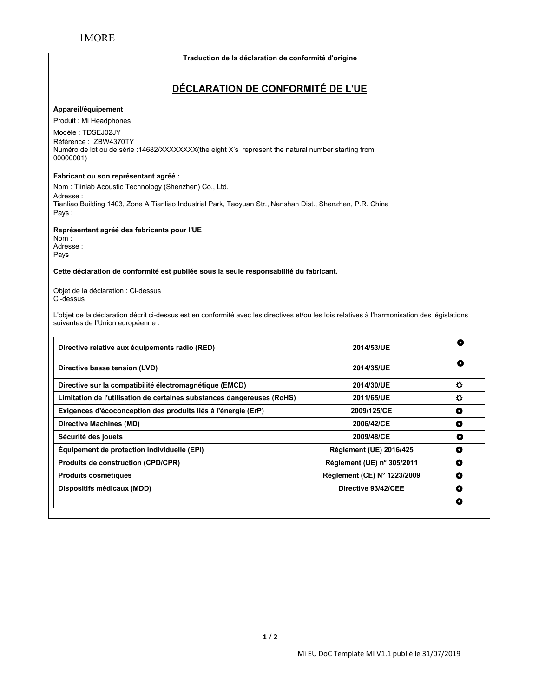#### **Traduction de la déclaration de conformité d'origine**

# **DÉCLARATION DE CONFORMITÉ DE L'UE**

#### **Appareil/équipement**

Produit : Mi Headphones

Modèle : TDSEJ02JY Référence : ZBW4370TY Numéro de lot ou de série :14682/XXXXXXXX(the eight X's represent the natural number starting from 00000001)

#### **Fabricant ou son représentant agréé :**

Nom : Tiinlab Acoustic Technology (Shenzhen) Co., Ltd. Adresse : Tianliao Building 1403, Zone A Tianliao Industrial Park, Taoyuan Str., Nanshan Dist., Shenzhen, P.R. China Pays :

**Représentant agréé des fabricants pour l'UE**

Nom : Adresse : Pays

#### **Cette déclaration de conformité est publiée sous la seule responsabilité du fabricant.**

Objet de la déclaration : Ci-dessus Ci-dessus

L'objet de la déclaration décrit ci-dessus est en conformité avec les directives et/ou les lois relatives à l'harmonisation des législations suivantes de l'Union européenne :

| Directive relative aux équipements radio (RED)                         | 2014/53/UE                     | O         |
|------------------------------------------------------------------------|--------------------------------|-----------|
| Directive basse tension (LVD)                                          | 2014/35/UE                     | $\bullet$ |
| Directive sur la compatibilité électromagnétique (EMCD)                | 2014/30/UE                     | $\circ$   |
| Limitation de l'utilisation de certaines substances dangereuses (RoHS) | 2011/65/UE                     | $\bullet$ |
| Exigences d'écoconception des produits liés à l'énergie (ErP)          | 2009/125/CE                    | ٥         |
| Directive Machines (MD)                                                | 2006/42/CE                     | $\bullet$ |
| Sécurité des jouets                                                    | 2009/48/CE                     | O         |
| Equipement de protection individuelle (EPI)                            | <b>Règlement (UE) 2016/425</b> | O         |
| <b>Produits de construction (CPD/CPR)</b>                              | Règlement (UE) n° 305/2011     | O         |
| <b>Produits cosmétiques</b>                                            | Règlement (CE) N° 1223/2009    | $\bullet$ |
| Dispositifs médicaux (MDD)                                             | Directive 93/42/CEE            | $\bullet$ |
|                                                                        |                                | O         |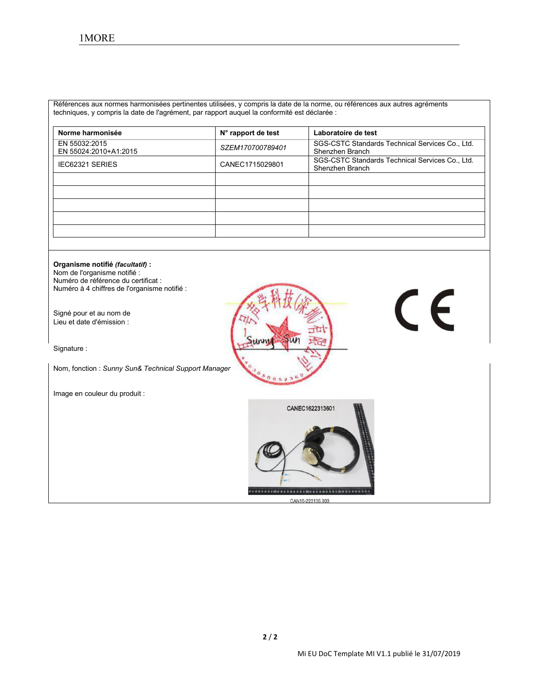Références aux normes harmonisées pertinentes utilisées, y compris la date de la norme, ou références aux autres agréments techniques, y compris la date de l'agrément, par rapport auquel la conformité est déclarée :

| Norme harmonisée                       | N° rapport de test | Laboratoire de test                                                |
|----------------------------------------|--------------------|--------------------------------------------------------------------|
| EN 55032:2015<br>EN 55024:2010+A1:2015 | SZEM170700789401   | SGS-CSTC Standards Technical Services Co., Ltd.<br>Shenzhen Branch |
| <b>IEC62321 SERIES</b>                 | CANEC1715029801    | SGS-CSTC Standards Technical Services Co., Ltd.<br>Shenzhen Branch |
|                                        |                    |                                                                    |
|                                        |                    |                                                                    |
|                                        |                    |                                                                    |
|                                        |                    |                                                                    |
|                                        |                    |                                                                    |

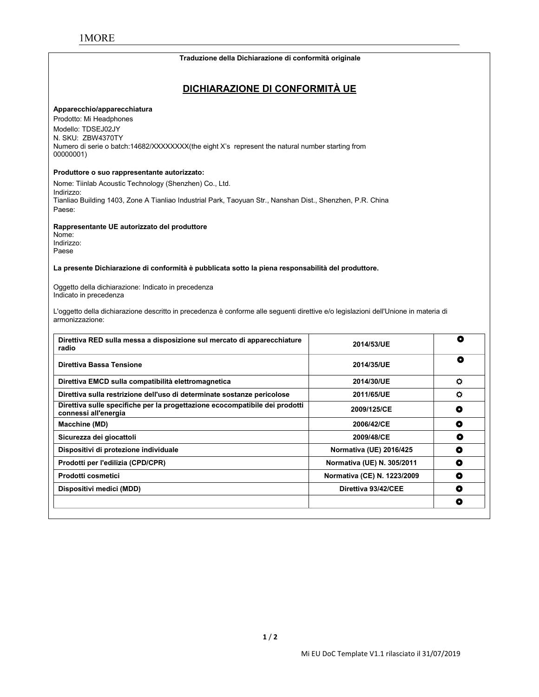#### **Traduzione della Dichiarazione di conformità originale**

# **DICHIARAZIONE DI CONFORMITÀ UE**

#### **Apparecchio/apparecchiatura**

Prodotto: Mi Headphones Modello: TDSEJ02JY N. SKU: ZBW4370TY Numero di serie o batch:14682/XXXXXXXX(the eight X's represent the natural number starting from 00000001)

#### **Produttore o suo rappresentante autorizzato:**

Nome: Tiinlab Acoustic Technology (Shenzhen) Co., Ltd. Indirizzo: Tianliao Building 1403, Zone A Tianliao Industrial Park, Taoyuan Str., Nanshan Dist., Shenzhen, P.R. China Paese:

#### **Rappresentante UE autorizzato del produttore**

Nome: Indirizzo: Paese

**La presente Dichiarazione di conformità è pubblicata sotto lapiena responsabilità del produttore.**

Oggetto della dichiarazione: Indicato in precedenza Indicato in precedenza

L'oggetto della dichiarazione descritto in precedenza è conforme alle seguenti direttive e/o legislazioni dell'Unione in materia di armonizzazione:

| Direttiva RED sulla messa a disposizione sul mercato di apparecchiature<br>radio                    | 2014/53/UE                  | ٥         |
|-----------------------------------------------------------------------------------------------------|-----------------------------|-----------|
| Direttiva Bassa Tensione                                                                            | 2014/35/UE                  | O         |
| Direttiva EMCD sulla compatibilità elettromagnetica                                                 | 2014/30/UE                  | $\circ$   |
| Direttiva sulla restrizione dell'uso di determinate sostanze pericolose                             | 2011/65/UE                  | ¢         |
| Direttiva sulle specifiche per la progettazione ecocompatibile dei prodotti<br>connessi all'energia | 2009/125/CE                 | O         |
| Macchine (MD)                                                                                       | 2006/42/CE                  | O         |
| Sicurezza dei giocattoli                                                                            | 2009/48/CE                  | о         |
| Dispositivi di protezione individuale                                                               | Normativa (UE) 2016/425     | $\bullet$ |
| Prodotti per l'edilizia (CPD/CPR)                                                                   | Normativa (UE) N. 305/2011  | O         |
| Prodotti cosmetici                                                                                  | Normativa (CE) N. 1223/2009 | O         |
| Dispositivi medici (MDD)                                                                            | Direttiva 93/42/CEE         | O         |
|                                                                                                     |                             | O         |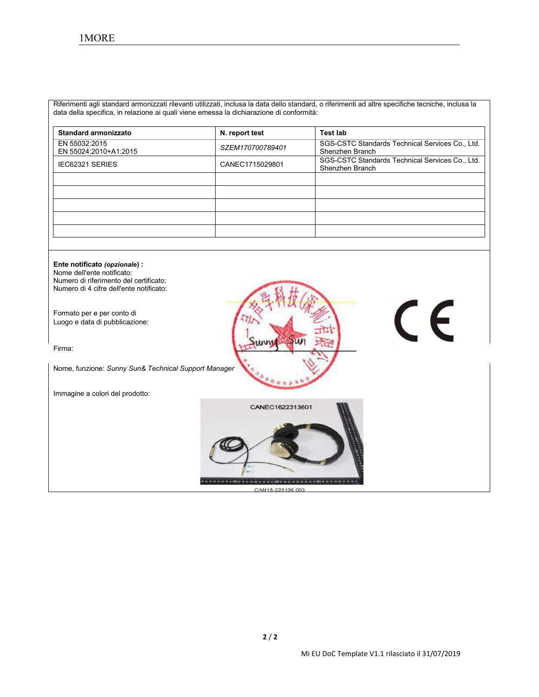Riferimenti agli standard armonizzati rilevanti utilizzati, inclusa la data dello standard, o riferimenti ad altre specifiche tecniche, inclusa la data della specifica, in relazione ai quali viene emessa la dichiarazione di conformità:

| <b>Standard armonizzato</b>            | N. report test   | Test lab                                                           |
|----------------------------------------|------------------|--------------------------------------------------------------------|
| EN 55032:2015<br>EN 55024:2010+A1:2015 | SZEM170700789401 | SGS-CSTC Standards Technical Services Co., Ltd.<br>Shenzhen Branch |
| IEC62321 SERIES                        | CANEC1715029801  | SGS-CSTC Standards Technical Services Co., Ltd.<br>Shenzhen Branch |
|                                        |                  |                                                                    |
|                                        |                  |                                                                    |
|                                        |                  |                                                                    |
|                                        |                  |                                                                    |
|                                        |                  |                                                                    |

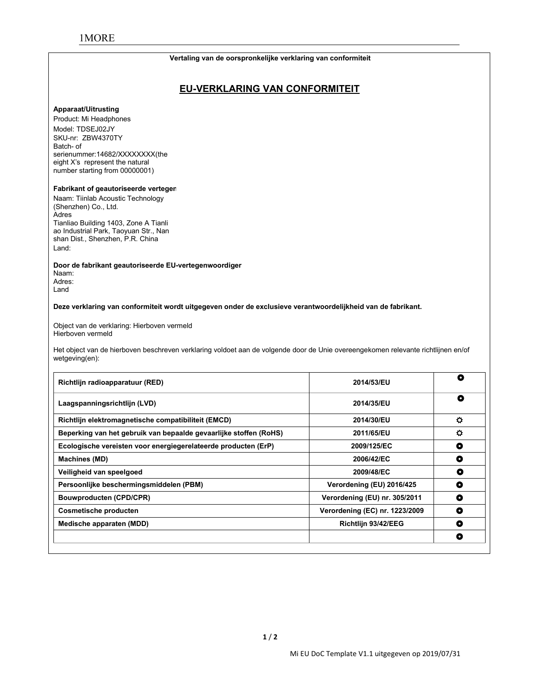# 1MORE

#### **Vertaling van de oorspronkelijke verklaring van conformiteit**

# **EU-VERKLARING VAN CONFORMITEIT**

#### **Apparaat/Uitrusting**

Product: Mi Headphones Model: TDSEJ02JY SKU-nr: ZBW4370TY<br>Batch- of serienummer:14682/XXXXXXXX(the eight X's represent the natural number starting from 00000001)

#### **Fabrikant of geautoriseerde verteger**

Naam: Tiinlab Acoustic Technology (Shenzhen) Co., Ltd. Adres Tianliao Building 1403, Zone A Tianli ao Industrial Park, Taoyuan Str., Nan shan Dist., Shenzhen, P.R. China Land:

**Door de fabrikant geautoriseerde EU-vertegenwoordiger**

Naam: Adres: Land

**Deze verklaring van conformiteit wordt uitgegeven onder de exclusieve verantwoordelijkheid van de fabrikant.**

Object van de verklaring: Hierboven vermeld Hierboven vermeld

Het object van de hierboven beschreven verklaring voldoet aan de volgende door de Unie overeengekomen relevante richtlijnen en/of wetgeving(en):

| Richtlijn radioapparatuur (RED)                                   | 2014/53/EU                     | O         |
|-------------------------------------------------------------------|--------------------------------|-----------|
| Laagspanningsrichtlijn (LVD)                                      | 2014/35/EU                     | $\bullet$ |
| Richtlijn elektromagnetische compatibiliteit (EMCD)               | 2014/30/EU                     | $\bullet$ |
| Beperking van het gebruik van bepaalde gevaarlijke stoffen (RoHS) | 2011/65/EU                     | $\bullet$ |
| Ecologische vereisten voor energiegerelateerde producten (ErP)    | 2009/125/EC                    | O         |
| Machines (MD)                                                     | 2006/42/EC                     | O         |
| Veiligheid van speelgoed                                          | 2009/48/EC                     | $\bullet$ |
| Persoonlijke beschermingsmiddelen (PBM)                           | Verordening (EU) 2016/425      | $\bullet$ |
| <b>Bouwproducten (CPD/CPR)</b>                                    | Verordening (EU) nr. 305/2011  | O         |
| <b>Cosmetische producten</b>                                      | Verordening (EC) nr. 1223/2009 | $\bullet$ |
| Medische apparaten (MDD)                                          | Richtlijn 93/42/EEG            | O         |
|                                                                   |                                | $\bullet$ |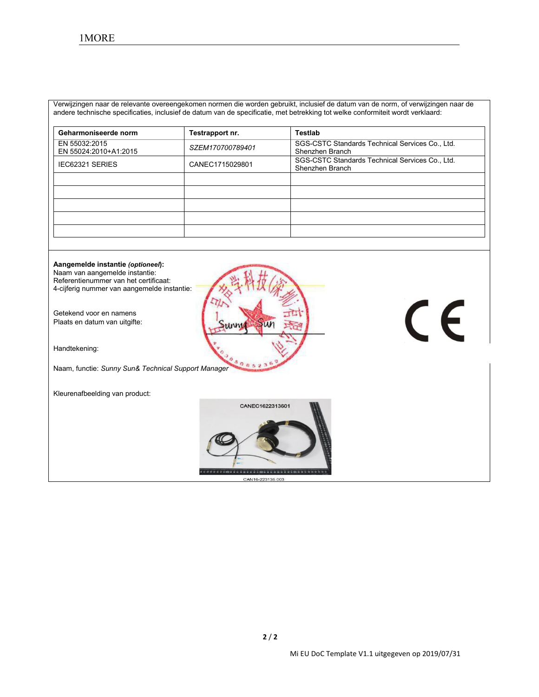Verwijzingen naar de relevante overeengekomen normen die worden gebruikt, inclusief de datum van de norm, ofverwijzingen naar de andere technische specificaties, inclusief de datum van de specificatie, met betrekking tot welke conformiteitwordt verklaard:

| Geharmoniseerde norm                   | Testrapport nr.  | Testlab                                                            |
|----------------------------------------|------------------|--------------------------------------------------------------------|
| EN 55032:2015<br>EN 55024:2010+A1:2015 | SZEM170700789401 | SGS-CSTC Standards Technical Services Co., Ltd.<br>Shenzhen Branch |
| IEC62321 SERIES                        | CANEC1715029801  | SGS-CSTC Standards Technical Services Co., Ltd.<br>Shenzhen Branch |
|                                        |                  |                                                                    |
|                                        |                  |                                                                    |
|                                        |                  |                                                                    |
|                                        |                  |                                                                    |
|                                        |                  |                                                                    |

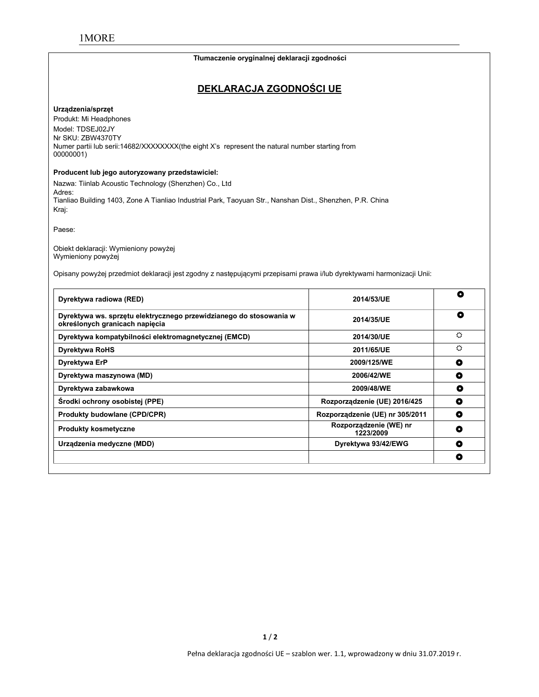#### **Tłumaczenie oryginalnej deklaracji zgodności**

# **DEKLARACJA ZGODNOŚCI UE**

#### **Urządzenia/sprzęt**

Produkt: Mi Headphones Model: TDSEJ02JY Nr SKU: ZBW4370TY Numer partii lub serii:14682/XXXXXXXX(the eight X's represent the natural number starting from 00000001)

#### **Producent lub jego autoryzowany przedstawiciel:**

Nazwa: Tiinlab Acoustic Technology (Shenzhen) Co., Ltd Adres: Tianliao Building 1403, Zone A Tianliao Industrial Park, Taoyuan Str., Nanshan Dist., Shenzhen, P.R. China Kraj:

Paese:

Obiekt deklaracji: Wymieniony powyżej Wymieniony powyżej

Opisany powyżej przedmiot deklaracji jest zgodny z następującymi przepisami prawa i/lub dyrektywami harmonizacji Unii:

| Dyrektywa radiowa (RED)                                                                              | 2014/53/UE                          | O |
|------------------------------------------------------------------------------------------------------|-------------------------------------|---|
| Dyrektywa ws. sprzętu elektrycznego przewidzianego do stosowania w<br>określonych granicach napięcia | 2014/35/UE                          | ۰ |
| Dyrektywa kompatybilności elektromagnetycznej (EMCD)                                                 | 2014/30/UE                          | ♦ |
| <b>Dyrektywa RoHS</b>                                                                                | 2011/65/UE                          | ♦ |
| Dyrektywa ErP                                                                                        | 2009/125/WE                         | O |
| Dyrektywa maszynowa (MD)                                                                             | 2006/42/WE                          | ٥ |
| Dyrektywa zabawkowa                                                                                  | 2009/48/WE                          | ٥ |
| Środki ochrony osobistej (PPE)                                                                       | Rozporządzenie (UE) 2016/425        | o |
| Produkty budowlane (CPD/CPR)                                                                         | Rozporządzenie (UE) nr 305/2011     | ۰ |
| <b>Produkty kosmetyczne</b>                                                                          | Rozporządzenie (WE) nr<br>1223/2009 | ٥ |
| Urządzenia medyczne (MDD)                                                                            | Dyrektywa 93/42/EWG                 | O |
|                                                                                                      |                                     | O |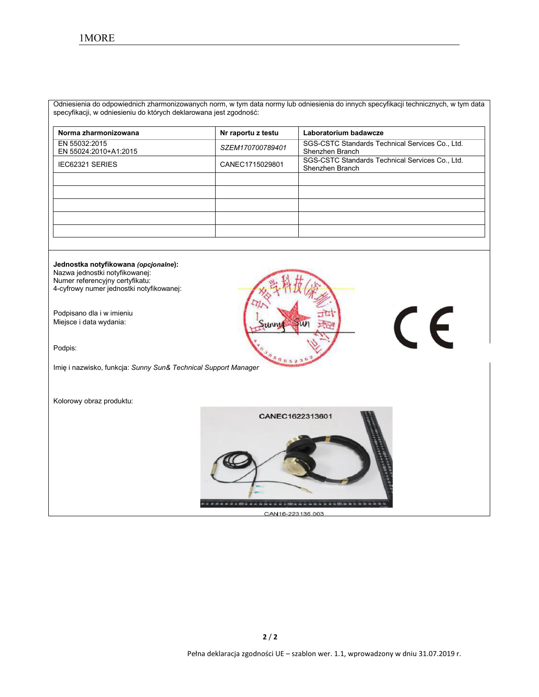Odniesienia do odpowiednich zharmonizowanych norm, w tym data normy lub odniesienia do innych specyfikacji technicznych, w tym data specyfikacji, w odniesieniu do których deklarowana jest zgodność:

| Norma zharmonizowana                   | Nr raportu z testu | Laboratorium badawcze                                              |
|----------------------------------------|--------------------|--------------------------------------------------------------------|
| EN 55032:2015<br>EN 55024:2010+A1:2015 | SZEM170700789401   | SGS-CSTC Standards Technical Services Co., Ltd.<br>Shenzhen Branch |
| <b>IEC62321 SERIES</b>                 | CANEC1715029801    | SGS-CSTC Standards Technical Services Co., Ltd.<br>Shenzhen Branch |
|                                        |                    |                                                                    |
|                                        |                    |                                                                    |
|                                        |                    |                                                                    |
|                                        |                    |                                                                    |
|                                        |                    |                                                                    |

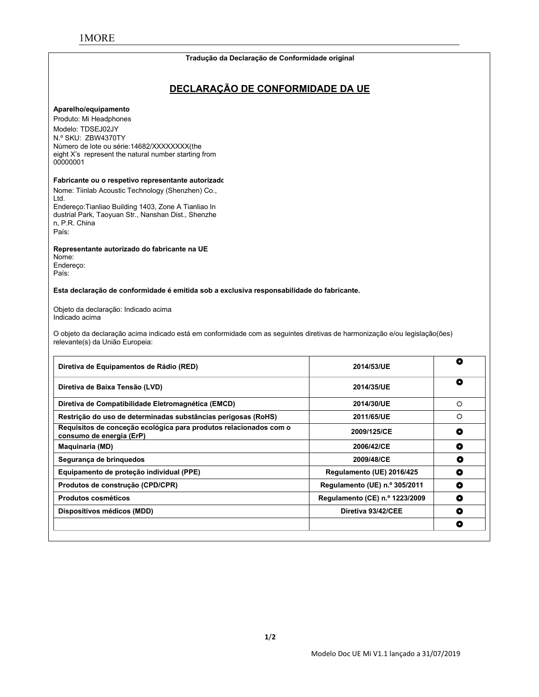#### **Tradução da Declaração de Conformidade original**

# **DECLARAÇÃO DE CONFORMIDADE DA UE**

#### **Aparelho/equipamento**

Produto: Mi Headphones Modelo: TDSEJ02JY N.º SKU: ZBW4370TY Número de lote ou série:14682/XXXXXXXX(the eight X's represent the natural number starting from 00000001

#### **Fabricante ou o respetivo representante autorizado:**

Nome: Tiinlab Acoustic Technology (Shenzhen) Co., Ltd. Endereço:Tianliao Building 1403, Zone A Tianliao In dustrial Park, Taoyuan Str., Nanshan Dist., Shenzhe n, P.R. China

País:

**Representante autorizado do fabricante na UE**

Nome: Endereço: País:

**Esta declaração de conformidade é emitida sob a exclusiva responsabilidade do fabricante.**

Objeto da declaração: Indicado acima Indicado acima

O objeto da declaração acima indicado está em conformidade com as seguintes diretivas de harmonização e/ou legislação(ões) relevante(s) da União Europeia:

| Diretiva de Equipamentos de Rádio (RED)                                                       | 2014/53/UE                     | O |
|-----------------------------------------------------------------------------------------------|--------------------------------|---|
| Diretiva de Baixa Tensão (LVD)                                                                | 2014/35/UE                     | ۰ |
| Diretiva de Compatibilidade Eletromagnética (EMCD)                                            | 2014/30/UE                     | O |
| Restrição do uso de determinadas substâncias perigosas (RoHS)                                 | 2011/65/UE                     | ♦ |
| Requisitos de conceção ecológica para produtos relacionados com o<br>consumo de energia (ErP) | 2009/125/CE                    | O |
| <b>Maquinaria (MD)</b>                                                                        | 2006/42/CE                     | O |
| Segurança de brinquedos                                                                       | 2009/48/CE                     | о |
| Equipamento de proteção individual (PPE)                                                      | Regulamento (UE) 2016/425      | о |
| Produtos de construção (CPD/CPR)                                                              | Regulamento (UE) n.º 305/2011  | O |
| Produtos cosméticos                                                                           | Regulamento (CE) n.º 1223/2009 | ۰ |
| Dispositivos médicos (MDD)                                                                    | Diretiva 93/42/CEE             | O |
|                                                                                               |                                | O |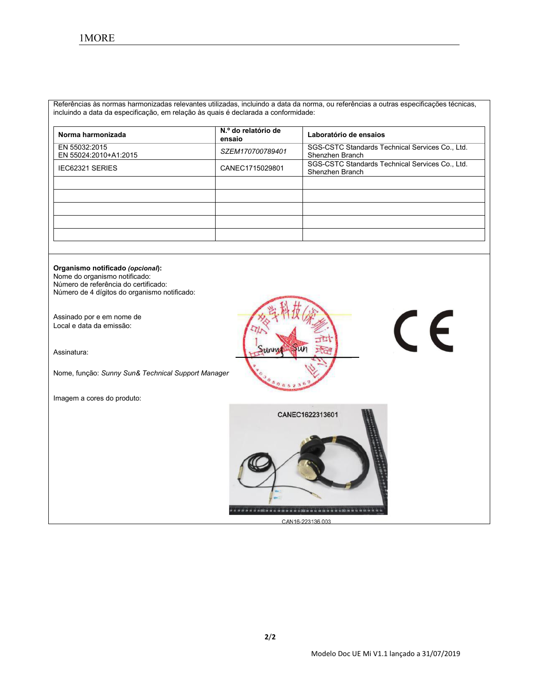Referências às normas harmonizadas relevantes utilizadas, incluindo a data da norma, ou referências a outras especificações técnicas, incluindo a data da especificação, em relação às quais é declarada a conformidade:

| Norma harmonizada                      | N.º do relatório de<br>ensaio | Laboratório de ensaios                                             |
|----------------------------------------|-------------------------------|--------------------------------------------------------------------|
| EN 55032:2015<br>EN 55024:2010+A1:2015 | SZEM170700789401              | SGS-CSTC Standards Technical Services Co., Ltd.<br>Shenzhen Branch |
| <b>IEC62321 SERIES</b>                 | CANEC1715029801               | SGS-CSTC Standards Technical Services Co., Ltd.<br>Shenzhen Branch |
|                                        |                               |                                                                    |
|                                        |                               |                                                                    |
|                                        |                               |                                                                    |
|                                        |                               |                                                                    |

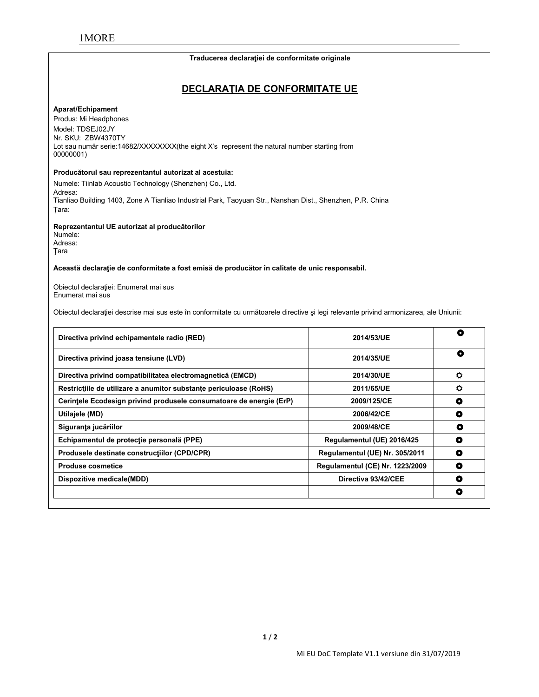#### **Traducerea declaraţiei de conformitate originale**

# **DECLARAŢIA DE CONFORMITATE UE**

#### **Aparat/Echipament**

Produs: Mi Headphones Model: TDSEJ02JY Nr. SKU: ZBW4370TY Lot sau număr serie:14682/XXXXXXX(the eight X's represent the natural number starting from 00000001)

### **Producătorul sau reprezentantul autorizat al acestuia:**

Numele: Tiinlab Acoustic Technology (Shenzhen) Co., Ltd. Adresa: Tianliao Building 1403, Zone A Tianliao Industrial Park, Taoyuan Str., Nanshan Dist., Shenzhen, P.R. China Ţara:

**Reprezentantul UE autorizat al producătorilor**

Numele: Adresa: Ţara

**Această declaraţie de conformitate a fost emisă de producător în calitate de unic responsabil.**

Obiectul declaraţiei: Enumerat mai sus Enumerat mai sus

Obiectul declaraţiei descrise mai sus este în conformitate cu următoarele directive şi legi relevante privind armonizarea, ale Uniunii:

| Directiva privind echipamentele radio (RED)                         | 2014/53/UE                      | ٥ |
|---------------------------------------------------------------------|---------------------------------|---|
| Directiva privind joasa tensiune (LVD)                              | 2014/35/UE                      | ٥ |
| Directiva privind compatibilitatea electromagnetică (EMCD)          | 2014/30/UE                      | ٥ |
| Restrictiile de utilizare a anumitor substante periculoase (RoHS)   | 2011/65/UE                      | ٥ |
| Cerințele Ecodesign privind produsele consumatoare de energie (ErP) | 2009/125/CE                     | O |
| Utilajele (MD)                                                      | 2006/42/CE                      | O |
| Siguranța jucăriilor                                                | 2009/48/CE                      | O |
| Echipamentul de protecție personală (PPE)                           | Regulamentul (UE) 2016/425      | O |
| Produsele destinate constructiilor (CPD/CPR)                        | Regulamentul (UE) Nr. 305/2011  | O |
| <b>Produse cosmetice</b>                                            | Regulamentul (CE) Nr. 1223/2009 | О |
| Dispozitive medicale(MDD)                                           | Directiva 93/42/CEE             | ٥ |
|                                                                     |                                 | O |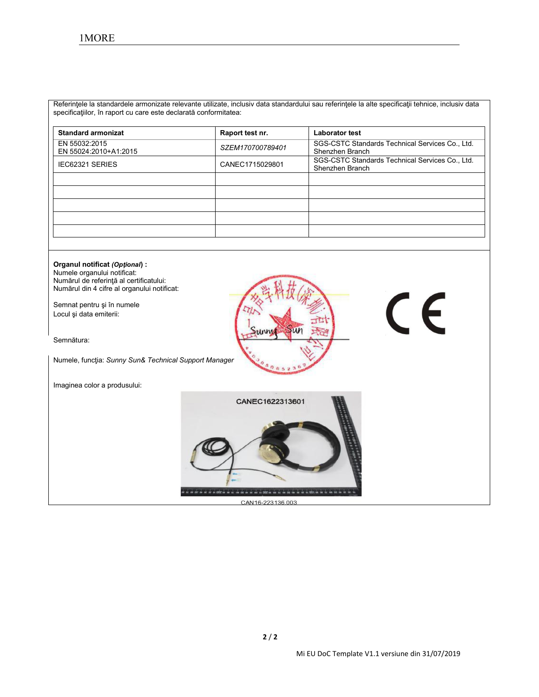Referinţele la standardele armonizate relevante utilizate, inclusiv data standardului sau referinţele la alte specificaţii tehnice, inclusiv data specificaţiilor, în raport cu care este declarată conformitatea:

| <b>Standard armonizat</b>              | Raport test nr.  | <b>Laborator test</b>                                              |
|----------------------------------------|------------------|--------------------------------------------------------------------|
| EN 55032:2015<br>EN 55024:2010+A1:2015 | SZEM170700789401 | SGS-CSTC Standards Technical Services Co., Ltd.<br>Shenzhen Branch |
| <b>IEC62321 SERIES</b>                 | CANEC1715029801  | SGS-CSTC Standards Technical Services Co., Ltd.<br>Shenzhen Branch |
|                                        |                  |                                                                    |
|                                        |                  |                                                                    |
|                                        |                  |                                                                    |
|                                        |                  |                                                                    |
|                                        |                  |                                                                    |

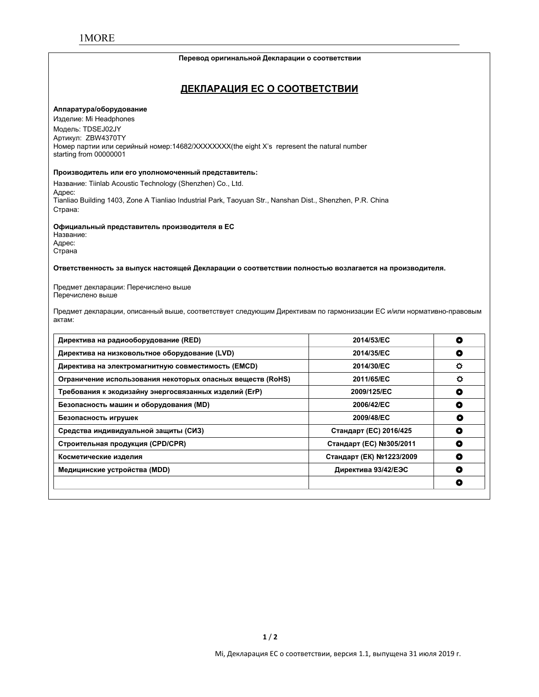#### **Перевод оригинальной Декларации о соответствии**

# **ДЕКЛАРАЦИЯ ЕС О СООТВЕТСТВИИ**

#### **Аппаратура/оборудование**

Изделие: Mi Headphones Модель: TDSEJ02JY Артикул: ZBW4370TY Номер партии или серийный номер:14682/XXXXXXXX(the eight X's represent the natural number starting from 00000001

#### **Производитель или его уполномоченный представитель:**

Название: Tiinlab Acoustic Technology (Shenzhen) Co., Ltd. Адрес: Tianliao Building 1403, Zone A Tianliao Industrial Park, Taoyuan Str., Nanshan Dist., Shenzhen, P.R. China Страна:

#### **Официальный представитель производителя в ЕС**

Название: Адрес: Страна

**Ответственность за выпуск настоящей Декларации о соответствии полностью возлагается на производителя.**

Предмет декларации: Перечислено выше Перечислено выше

Предмет декларации, описанный выше, соответствует следующим Директивам по гармонизации ЕС и/или нормативно-правовым актам:

| Директива на радиооборудование (RED)                       | 2014/53/EC               | 0 |
|------------------------------------------------------------|--------------------------|---|
| Директива на низковольтное оборудование (LVD)              | 2014/35/EC               | O |
| Директива на электромагнитную совместимость (EMCD)         | 2014/30/EC               | ٥ |
| Ограничение использования некоторых опасных веществ (RoHS) | 2011/65/EC               | ٥ |
| Требования к экодизайну энергосвязанных изделий (ErP)      | 2009/125/EC              | O |
| Безопасность машин и оборудования (MD)                     | 2006/42/EC               | O |
| Безопасность игрушек                                       | 2009/48/EC               | O |
| Средства индивидуальной защиты (СИЗ)                       | Стандарт (ЕС) 2016/425   | ۰ |
| Строительная продукция (CPD/CPR)                           | Стандарт (ЕС) №305/2011  | O |
| Косметические изделия                                      | Стандарт (ЕК) №1223/2009 | ۰ |
| Медицинские устройства (MDD)                               | Директива 93/42/ЕЭС      | ٥ |
|                                                            |                          | O |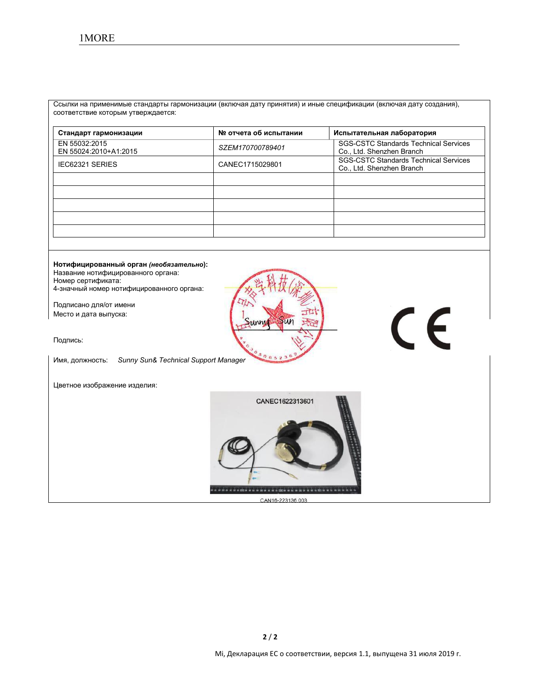Ссылки на применимые стандарты гармонизации (включая дату принятия) и иные спецификации (включая дату создания), соответствие которым утверждается:

| Стандарт гармонизации                  | № отчета об испытании | Испытательная лаборатория                                                 |
|----------------------------------------|-----------------------|---------------------------------------------------------------------------|
| EN 55032:2015<br>EN 55024:2010+A1:2015 | SZEM170700789401      | <b>SGS-CSTC Standards Technical Services</b><br>Co., Ltd. Shenzhen Branch |
| <b>IEC62321 SERIES</b>                 | CANEC1715029801       | <b>SGS-CSTC Standards Technical Services</b><br>Co., Ltd. Shenzhen Branch |
|                                        |                       |                                                                           |
|                                        |                       |                                                                           |
|                                        |                       |                                                                           |
|                                        |                       |                                                                           |
|                                        |                       |                                                                           |

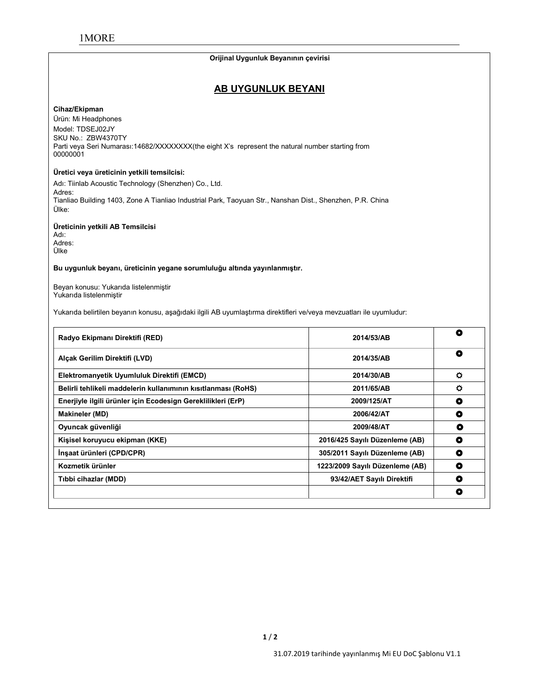#### **Orijinal Uygunluk Beyanının çevirisi**

# **AB UYGUNLUK BEYANI**

#### **Cihaz/Ekipman**

Ürün: Mi Headphones Model: TDSEJ02JY SKU No.: ZBW4370TY Parti veya Seri Numarası:14682/XXXXXXX(the eight X's represent the natural number starting from 00000001

#### **Üretici veya üreticinin yetkili temsilcisi:**

Adı: Tiinlab Acoustic Technology (Shenzhen) Co., Ltd. Adres: Tianliao Building 1403, Zone A Tianliao Industrial Park, Taoyuan Str., Nanshan Dist., Shenzhen, P.R. China Ülke:

#### **Üreticinin yetkili AB Temsilcisi**

Adı: Adres: Ülke

#### **Bu uygunluk beyanı, üreticinin yegane sorumluluğu altında yayınlanmıştır.**

Beyan konusu: Yukarıda listelenmiştir Yukarıda listelenmiştir

Yukarıda belirtilen beyanın konusu, aşağıdaki ilgili AB uyumlaştırma direktifleri ve/veya mevzuatları ile uyumludur:

| Radyo Ekipmanı Direktifi (RED)                                | 2014/53/AB                      | O         |
|---------------------------------------------------------------|---------------------------------|-----------|
| Alçak Gerilim Direktifi (LVD)                                 | 2014/35/AB                      | ٥         |
| Elektromanyetik Uyumluluk Direktifi (EMCD)                    | 2014/30/AB                      | $\bullet$ |
| Belirli tehlikeli maddelerin kullanımının kısıtlanması (RoHS) | 2011/65/AB                      | ۰         |
| Enerjiyle ilgili ürünler için Ecodesign Gereklilikleri (ErP)  | 2009/125/AT                     | ٥         |
| <b>Makineler (MD)</b>                                         | 2006/42/AT                      | O         |
| Oyuncak güvenliği                                             | 2009/48/AT                      | ٥         |
| Kişisel koruyucu ekipman (KKE)                                | 2016/425 Sayılı Düzenleme (AB)  | O         |
| İnşaat ürünleri (CPD/CPR)                                     | 305/2011 Sayılı Düzenleme (AB)  | O         |
| Kozmetik ürünler                                              | 1223/2009 Sayılı Düzenleme (AB) | O         |
| Tıbbi cihazlar (MDD)                                          | 93/42/AET Sayılı Direktifi      | O         |
|                                                               |                                 | O         |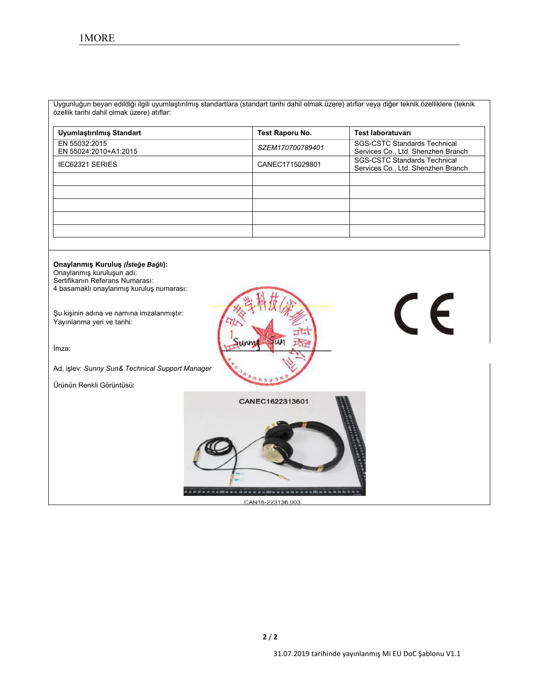Uygunluğun beyan edildiğiilgili uyumlaştırılmış standartlara (standart tarihi dahil olmak üzere) atıflar veya diğer teknik özelliklere (teknik özellik tarihi dahil olmak üzere) atıflar:

| Uyumlaştırılmış Standart               | Test Raporu No.  | Test laboratuvarı                                                         |
|----------------------------------------|------------------|---------------------------------------------------------------------------|
| EN 55032:2015<br>EN 55024:2010+A1:2015 | SZEM170700789401 | <b>SGS-CSTC Standards Technical</b><br>Services Co., Ltd. Shenzhen Branch |
| <b>IEC62321 SERIES</b>                 | CANEC1715029801  | <b>SGS-CSTC Standards Technical</b><br>Services Co., Ltd. Shenzhen Branch |
|                                        |                  |                                                                           |
|                                        |                  |                                                                           |
|                                        |                  |                                                                           |
|                                        |                  |                                                                           |
|                                        |                  |                                                                           |

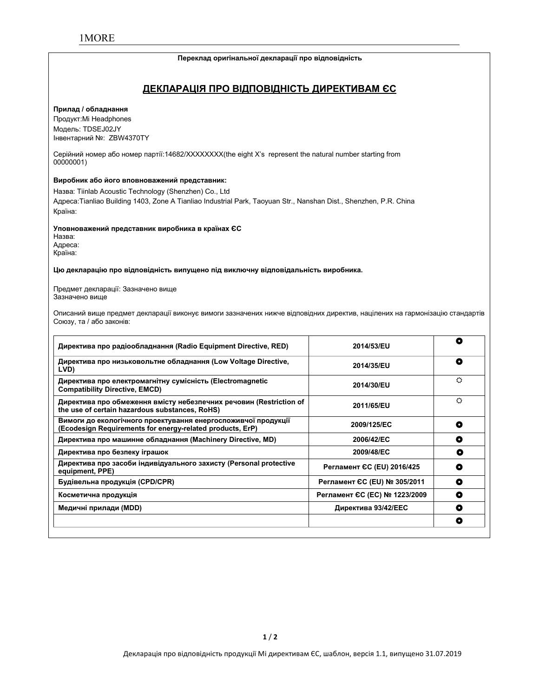#### **Переклад оригінальної декларації про відповідність**

# **ДЕКЛАРАЦІЯ ПРО ВІДПОВІДНІСТЬ ДИРЕКТИВАМ ЄС**

#### **Прилад / обладнання**

Продукт:Mi Headphones Модель: TDSEJ02JY Інвентарний №: ZBW4370TY

Серійний номер або номер партії:14682/XXXXXXXX(the eight X's represent the natural number starting from 00000001)

#### **Виробник або його вповноважений представник:**

Назва: Tiinlab Acoustic Technology (Shenzhen) Co., Ltd Адреса:Tianliao Building 1403, Zone A Tianliao Industrial Park, Taoyuan Str., Nanshan Dist., Shenzhen, P.R. China Країна:

#### **Уповноважений представник виробника в країнах ЄС**

Назва: Адреса: Країна:

#### **Цю декларацію про відповідність випущено під виключну відповідальність виробника.**

Предмет декларації: Зазначено вище Зазначено вище

Описаний вище предмет декларації виконує вимоги зазначених нижче відповідних директив, націлених на гармонізацію стандартів Союзу, та / або законів:

| Директива про радіообладнання (Radio Equipment Directive, RED)                                                             | 2014/53/EU                    | О         |
|----------------------------------------------------------------------------------------------------------------------------|-------------------------------|-----------|
| Директива про низьковольтне обладнання (Low Voltage Directive,<br>LVD)                                                     | 2014/35/EU                    | ۰         |
| Директива про електромагнітну сумісність (Electromagnetic<br><b>Compatibility Directive, EMCD)</b>                         | 2014/30/EU                    | ♦         |
| Директива про обмеження вмісту небезпечних речовин (Restriction of<br>the use of certain hazardous substances, RoHS)       | 2011/65/EU                    | O         |
| Вимоги до екологічного проектування енергоспоживчої продукції<br>(Ecodesign Requirements for energy-related products, ErP) | 2009/125/EC                   | O         |
| Директива про машинне обладнання (Machinery Directive, MD)                                                                 | 2006/42/EC                    | ٥         |
| Директива про безпеку іграшок                                                                                              | 2009/48/EC                    | ٥         |
| Директива про засоби індивідуального захисту (Personal protective<br>equipment, PPE)                                       | Регламент ЄС (EU) 2016/425    | $\bullet$ |
| Будівельна продукція (CPD/CPR)                                                                                             | Регламент ЄС (EU) № 305/2011  | O         |
| Косметична продукція                                                                                                       | Регламент ЄС (ЕС) № 1223/2009 | O         |
| Медичні прилади (MDD)                                                                                                      | Директива 93/42/ЕЕС           | O         |
|                                                                                                                            |                               | ۰         |